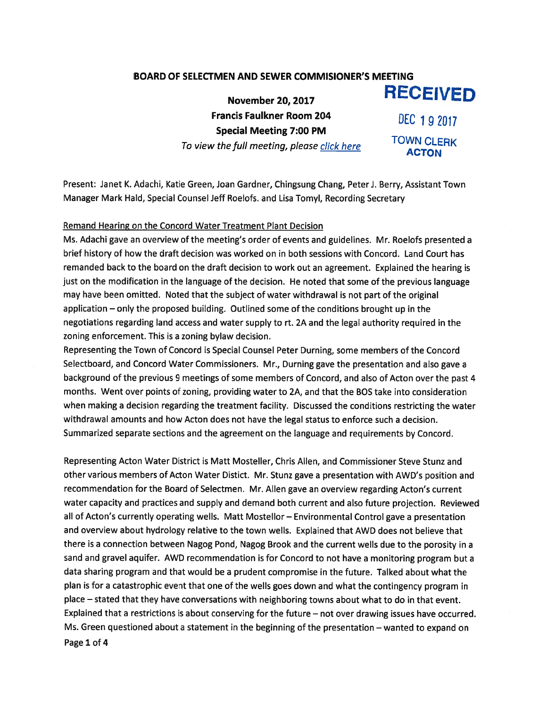## BOARD OF SELECTMEN AND SEWER COMMISIONER'S MEETING

November 20, 2017 RECEIVED Francis Faulkner Room 204 DEC 192017 Special Meeting 7:00 PM To view the full meeting, please click here TOWN CLERK

Present: Janet K. Adachi, Katie Green, Joan Gardner, Chingsung Chang, Peter J. Berry, Assistant Town Manager Mark Hald, Special Counsel Jeff Roelofs. and Lisa Tomyl, Recording Secretary

## Remand Hearing on the Concord Water Treatment Plant Decision

Ms. Adachi gave an overview of the meeting's order of events and guidelines. Mr. Roelofs presented <sup>a</sup> brief history of how the draft decision was worked on in both sessions with Concord. Land Court has remanded back to the board on the draft decision to work out an agreement. Explained the hearing is just on the modification in the language of the decision. He noted that some of the previous language may have been omitted. Noted that the subject of water withdrawal is not par<sup>t</sup> of the original application — only the proposed building. Outlined some of the conditions brought up in the negotiations regarding land access and water supply to rt. 2A and the legal authority required in the zoning enforcement. This is <sup>a</sup> zoning bylaw decision.

Representing the Town of Concord is Special Counsel Peter Durning, some members of the Concord Selectboard, and Concord Water Commissioners. Mr., Durning gave the presentation and also gave <sup>a</sup> background of the previous <sup>9</sup> meetings of some members of Concord, and also of Acton over the pas<sup>t</sup> <sup>4</sup> months. Went over points of zoning, providing water to 2A, and that the BOS take into consideration when making <sup>a</sup> decision regarding the treatment facility. Discussed the conditions restricting the water withdrawal amounts and how Acton does not have the legal status to enforce such <sup>a</sup> decision. Summarized separate sections and the agreemen<sup>t</sup> on the language and requirements by Concord.

Representing Acton Water District is Matt Mosteller, Chris Allen, and Commissioner Steve Stunz and other various members of Acton Water Distict. Mr. Stunz gave <sup>a</sup> presentation with AWD's position and recommendation for the Board of Selectmen. Mr. Allen gave an overview regarding Acton's current water capacity and practices and supply and demand both current and also future projection. Reviewed all of Acton's currently operating wells. Matt Mostellor — Environmental Control gave <sup>a</sup> presentation and overview about hydrology relative to the town wells. Explained that AWD does not believe that there is <sup>a</sup> connection between Nagog Pond, Nagog Brook and the current wells due to the porosity in <sup>a</sup> sand and grave<sup>l</sup> aquifer. AWD recommendation is for Concord to not have <sup>a</sup> monitoring program but <sup>a</sup> data sharing program and that would be <sup>a</sup> prudent compromise in the future. Talked about what the <sup>p</sup>lan is for <sup>a</sup> catastrophic event that one of the wells goes down and what the contingency program in <sup>p</sup>lace — stated that they have conversations with neighboring towns about what to do in that event. Explained that <sup>a</sup> restrictions is about conserving for the future — not over drawing issues have occurred. Ms. Green questioned about <sup>a</sup> statement in the beginning of the presentation — wanted to expand on Page 1 of 4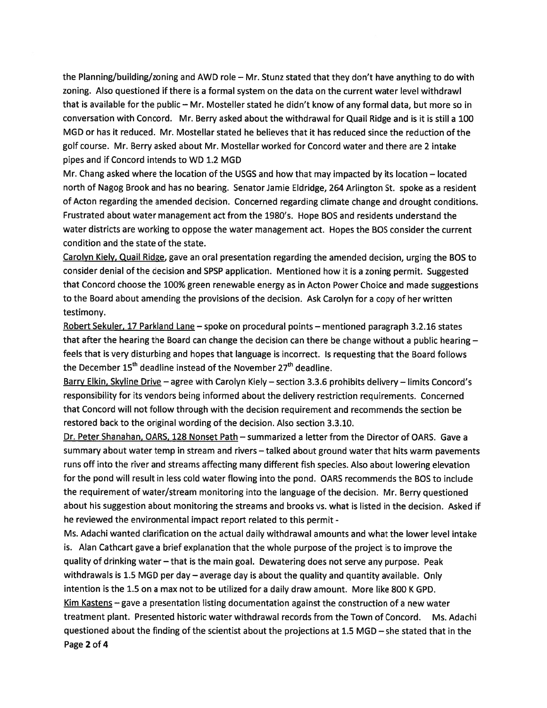the Planning/building/zoning and AWD role — Mr. Stunz stated that they don't have anything to do with zoning. Also questioned if there is <sup>a</sup> formal system on the data on the current water level withdrawl that is available for the public — Mr. Mosteller stated he didn't know of any formal data, but more so in conversation with Concord. Mr. Berry asked about the withdrawal for Quail Ridge and is it is still <sup>a</sup> 100 MGD or has it reduced. Mr. Mostellar stated he believes that it has reduced since the reduction of the golf course. Mr. Berry asked about Mr. Mostellar worked for Concord water and there are 2 intake pipes and if Concord intends to WD 1.2 MGD

Mr. Chang asked where the location of the USGS and how that may impacted by its location — located north of Nagog Brook and has no bearing. Senator Jamie Eldridge, 264 Arlington St. spoke as <sup>a</sup> resident of Acton regarding the amended decision. Concerned regarding climate change and drought conditions. Frustrated about water managemen<sup>t</sup> act from the 1980's. Hope BOS and residents understand the water districts are working to oppose the water managemen<sup>t</sup> act. Hopes the BOS consider the current condition and the state of the state.

Carolyn Kiely, Quail Ridge, gave an oral presentation regarding the amended decision, urging the BOS to consider denial of the decision and SPSP application. Mentioned how it is <sup>a</sup> zoning permit. Suggested that Concord choose the 100% green renewable energy as in Acton Power Choice and made suggestions to the Board about amending the provisions of the decision. Ask Carolyn for <sup>a</sup> copy of her written testimony.

Robert Sekuler, <sup>17</sup> Parkland Lane — spoke on procedural points — mentioned paragrap<sup>h</sup> 3.2.16 states that after the hearing the Board can change the decision can there be change without <sup>a</sup> public hearing feels that is very disturbing and hopes that language is incorrect. Is requesting that the Board follows the December  $15<sup>th</sup>$  deadline instead of the November  $27<sup>th</sup>$  deadline.

Barry Elkin, Skyline Drive — agree with Carolyn Kiely — section 3.3.6 prohibits delivery — limits Concord's responsibility for its vendors being informed about the delivery restriction requirements. Concerned that Concord will not follow through with the decision requirement and recommends the section be restored back to the original wording of the decision. Also section 3.3.10.

Dr. Peter Shanahan, OARS, 128 Nonset Path — summarized <sup>a</sup> letter from the Director of OARS. Gave <sup>a</sup> summary about water temp in stream and rivers — talked about ground water that hits warm pavements runs off into the river and streams affecting many different fish species. Also about lowering elevation for the pond will result in less cold water flowing into the pond. OARS recommends the BOS to include the requirement of water/stream monitoring into the language of the decision. Mr. Berry questioned about his suggestion about monitoring the streams and brooks vs. what is listed in the decision. Asked if he reviewed the environmental impact repor<sup>t</sup> related to this permit -

Ms. Adachi wanted clarification on the actual daily withdrawal amounts and what the lower level intake is. Alan Cathcart gave <sup>a</sup> brief explanation that the whole purpose of the project is to improve the quality of drinking water — that is the main goal. Dewatering does not serve any purpose. Peak withdrawals is 1.5 MGD per day — average day is about the quality and quantity available. Only intention is the 1.5 on <sup>a</sup> max not to be utilized for <sup>a</sup> daily draw amount. More like 800 <sup>K</sup> GPD. Kim Kastens  $-$  gave a presentation listing documentation against the construction of a new water treatment plant. Presented historic water withdrawal records from the Town of Concord. Ms. Adachi questioned about the finding of the scientist about the projections at 1.5 MGD — she stated that in the Page 2 of 4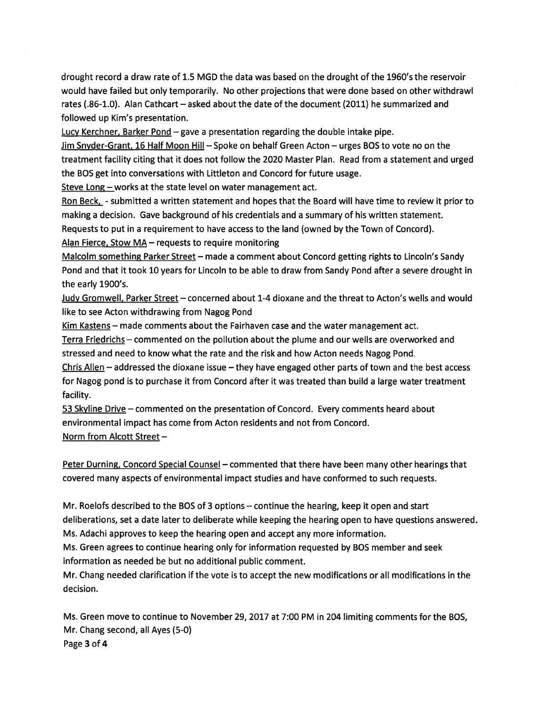drought record <sup>a</sup> draw rate of 1.5 MGD the data was based on the drought of the 1960's the reservoir would have failed but only temporarily. No other projections that were done based on other withdrawl rates (.86-1.0). Alan Cathcart — asked about the date of the document (2011) he summarized and followed up Kim's presentation.

Lucy Kerchner, Barker Pond — gave <sup>a</sup> presentation regarding the double intake pipe.

Jim Snyder-Grant, 16 Half Moon Hill — Spoke on behalf Green Acton — urges BOS to vote no on the treatment facility citing that it does not follow the 2020 Master Plan. Read from <sup>a</sup> statement and urged the BOS ge<sup>t</sup> into conversations with Littleton and Concord for future usage.

Steve Long — works at the state level on water managemen<sup>t</sup> act.

Ron Beck, - submitted a written statement and hopes that the Board will have time to review it prior to making <sup>a</sup> decision. Gave background of his credentials and <sup>a</sup> summary of his written statement.

Requests to pu<sup>t</sup> in <sup>a</sup> requirement to have access to the land (owned by the Town of Concord).

Alan Fierce, Stow MA— requests to require monitoring

Malcolm something Parker Street — made <sup>a</sup> comment about Concord getting rights to Lincoln's Sandy Pond and that it took 10 years for Lincoln to be able to draw from Sandy Pond after <sup>a</sup> severe drought in the early 1900's.

Judy Gromwell, Parker Street — concerned about 1-4 dioxane and the threat to Acton's wells and would like to see Acton withdrawing from Nagog Pond

Kim Kastens – made comments about the Fairhaven case and the water management act.

Terra Friedrichs — commented on the pollution about the plume and our wells are overworked and stressed and need to know what the rate and the risk and how Acton needs Nagog Pond.

Chris Allen – addressed the dioxane issue – they have engaged other parts of town and the best access for Nagog pond is to purchase it from Concord after it was treated than build <sup>a</sup> large water treatment facility.

53 Skyline Drive — commented on the presentation of Concord. Every comments heard about environmental impact has come from Acton residents and not from Concord. Norm from Alcott Street —

Peter Durning, Concord Special Counsel – commented that there have been many other hearings that covered many aspects of environmental impact studies and have conformed to such requests.

Mr. Roelofs described to the BOS of 3 options — continue the hearing, keep it open and start deliberations, set <sup>a</sup> date later to deliberate while keeping the hearing open to have questions answered. Ms. Adachi approves to keep the hearing open and accep<sup>t</sup> any more information.

Ms. Green agrees to continue hearing only for information requested by BOS member and seek information as needed be but no additional public comment.

Mr. Chang needed clarification if the vote is to accep<sup>t</sup> the new modifications or all modifications in the decision.

Ms. Green move to continue to November 29, 2017 at 7:00 PM in 204 limiting comments for the 805, Mr. Chang second, all Ayes (5-0) Page 3 of <sup>4</sup>